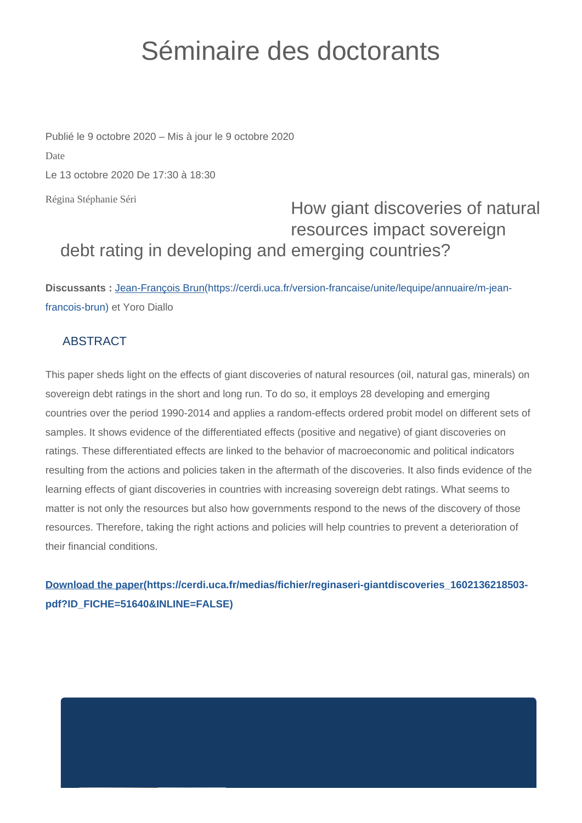## Séminaire des doctorants

Régina Stéphanie Séri Publié le 9 octobre 2020 – Mis à jour le 9 octobre 2020 Date Le 13 octobre 2020 De 17:30 à 18:30

## How giant discoveries of natural resources impact sovereign debt rating in developing and emerging countries?

**Discussants :** [Jean-François Brun\(https://cerdi.uca.fr/version-francaise/unite/lequipe/annuaire/m-jean](https://cerdi.uca.fr/version-francaise/unite/lequipe/annuaire/m-jean-francois-brun)[francois-brun\)](https://cerdi.uca.fr/version-francaise/unite/lequipe/annuaire/m-jean-francois-brun) et Yoro Diallo

## **ABSTRACT**

This paper sheds light on the effects of giant discoveries of natural resources (oil, natural gas, minerals) on sovereign debt ratings in the short and long run. To do so, it employs 28 developing and emerging countries over the period 1990-2014 and applies a random-effects ordered probit model on different sets of samples. It shows evidence of the differentiated effects (positive and negative) of giant discoveries on ratings. These differentiated effects are linked to the behavior of macroeconomic and political indicators resulting from the actions and policies taken in the aftermath of the discoveries. It also finds evidence of the learning effects of giant discoveries in countries with increasing sovereign debt ratings. What seems to matter is not only the resources but also how governments respond to the news of the discovery of those resources. Therefore, taking the right actions and policies will help countries to prevent a deterioration of their financial conditions.

**[Download the paper\(https://cerdi.uca.fr/medias/fichier/reginaseri-giantdiscoveries\\_1602136218503](https://cerdi.uca.fr/medias/fichier/reginaseri-giantdiscoveries_1602136218503-pdf?ID_FICHE=51640&INLINE=FALSE) [pdf?ID\\_FICHE=51640&INLINE=FALSE\)](https://cerdi.uca.fr/medias/fichier/reginaseri-giantdiscoveries_1602136218503-pdf?ID_FICHE=51640&INLINE=FALSE)**